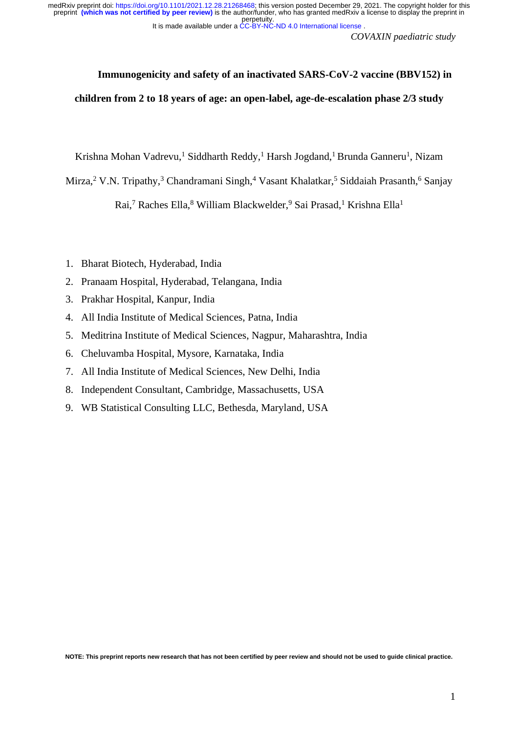perpetuity. preprint **(which was not certified by peer review)** is the author/funder, who has granted medRxiv a license to display the preprint in medRxiv preprint doi: [https://doi.org/10.1101/2021.12.28.21268468;](https://doi.org/10.1101/2021.12.28.21268468) this version posted December 29, 2021. The copyright holder for this

It is made available under a CC-BY-NC-ND 4.0 International license.

*COVAXIN paediatric study*

# **Immunogenicity and safety of an inactivated SARS-CoV-2 vaccine (BBV152) in children from 2 to 18 years of age: an open-label, age-de-escalation phase 2/3 study**

Krishna Mohan Vadrevu,<sup>1</sup> Siddharth Reddy,<sup>1</sup> Harsh Jogdand,<sup>1</sup> Brunda Ganneru<sup>1</sup>, Nizam

Mirza,<sup>2</sup> V.N. Tripathy,<sup>3</sup> Chandramani Singh,<sup>4</sup> Vasant Khalatkar,<sup>5</sup> Siddaiah Prasanth,<sup>6</sup> Sanjay

Rai,<sup>7</sup> Raches Ella,<sup>8</sup> William Blackwelder,<sup>9</sup> Sai Prasad,<sup>1</sup> Krishna Ella<sup>1</sup>

- 1. Bharat Biotech, Hyderabad, India
- 2. Pranaam Hospital, Hyderabad, Telangana, India
- 3. Prakhar Hospital, Kanpur, India
- 4. All India Institute of Medical Sciences, Patna, India
- 5. Meditrina Institute of Medical Sciences, Nagpur, Maharashtra, India
- 6. Cheluvamba Hospital, Mysore, Karnataka, India
- 7. All India Institute of Medical Sciences, New Delhi, India
- 8. Independent Consultant, Cambridge, Massachusetts, USA
- 9. WB Statistical Consulting LLC, Bethesda, Maryland, USA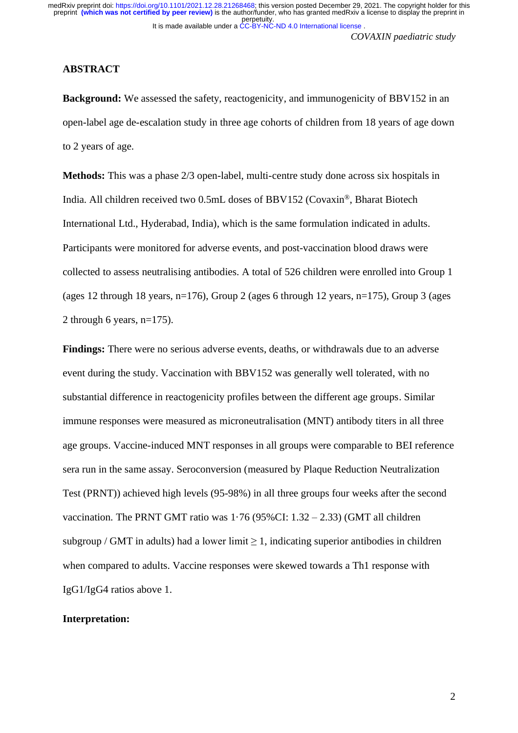### *COVAXIN paediatric study*

### **ABSTRACT**

**Background:** We assessed the safety, reactogenicity, and immunogenicity of BBV152 in an open-label age de-escalation study in three age cohorts of children from 18 years of age down to 2 years of age.

**Methods:** This was a phase 2/3 open-label, multi-centre study done across six hospitals in India. All children received two 0.5mL doses of BBV152 (Covaxin®, Bharat Biotech International Ltd., Hyderabad, India), which is the same formulation indicated in adults. Participants were monitored for adverse events, and post-vaccination blood draws were collected to assess neutralising antibodies. A total of 526 children were enrolled into Group 1 (ages 12 through 18 years, n=176), Group 2 (ages 6 through 12 years, n=175), Group 3 (ages 2 through 6 years,  $n=175$ ).

**Findings:** There were no serious adverse events, deaths, or withdrawals due to an adverse event during the study. Vaccination with BBV152 was generally well tolerated, with no substantial difference in reactogenicity profiles between the different age groups. Similar immune responses were measured as microneutralisation (MNT) antibody titers in all three age groups. Vaccine-induced MNT responses in all groups were comparable to BEI reference sera run in the same assay. Seroconversion (measured by Plaque Reduction Neutralization Test (PRNT)) achieved high levels (95-98%) in all three groups four weeks after the second vaccination. The PRNT GMT ratio was  $1.76$  (95%CI:  $1.32 - 2.33$ ) (GMT all children subgroup / GMT in adults) had a lower limit  $\geq 1$ , indicating superior antibodies in children when compared to adults. Vaccine responses were skewed towards a Th1 response with IgG1/IgG4 ratios above 1.

### **Interpretation:**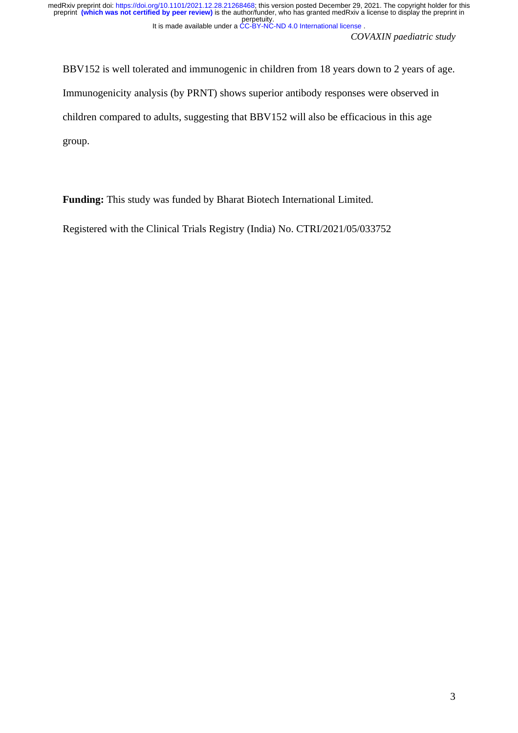It is made available under a CC-BY-NC-ND 4.0 International license. perpetuity. medRxiv preprint doi: [https://doi.org/10.1101/2021.12.28.21268468;](https://doi.org/10.1101/2021.12.28.21268468) this version posted December 29, 2021. The copyright holder for this<br>preprint (which was not certified by peer review) is the author/funder, who has grante

*COVAXIN paediatric study*

BBV152 is well tolerated and immunogenic in children from 18 years down to 2 years of age. Immunogenicity analysis (by PRNT) shows superior antibody responses were observed in children compared to adults, suggesting that BBV152 will also be efficacious in this age group.

**Funding:** This study was funded by Bharat Biotech International Limited.

Registered with the Clinical Trials Registry (India) No. CTRI/2021/05/033752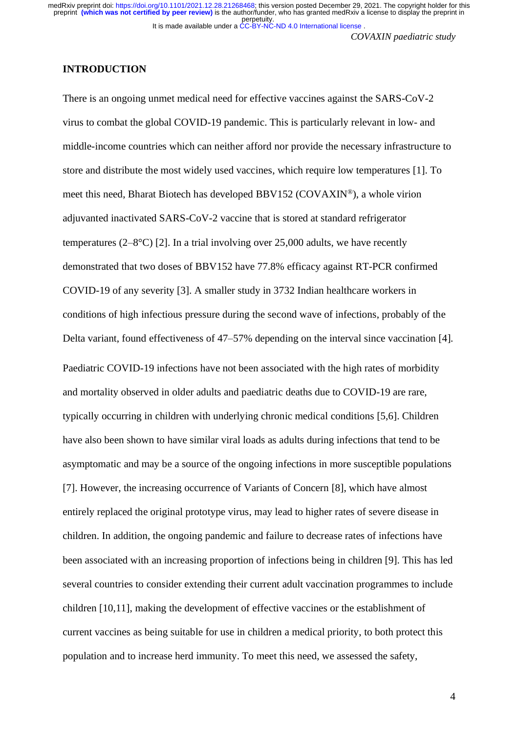perpetuity. preprint **(which was not certified by peer review)** is the author/funder, who has granted medRxiv a license to display the preprint in medRxiv preprint doi: [https://doi.org/10.1101/2021.12.28.21268468;](https://doi.org/10.1101/2021.12.28.21268468) this version posted December 29, 2021. The copyright holder for this

It is made available under a CC-BY-NC-ND 4.0 International license.

#### *COVAXIN paediatric study*

### **INTRODUCTION**

There is an ongoing unmet medical need for effective vaccines against the SARS-CoV-2 virus to combat the global COVID-19 pandemic. This is particularly relevant in low- and middle-income countries which can neither afford nor provide the necessary infrastructure to store and distribute the most widely used vaccines, which require low temperatures [1]. To meet this need, Bharat Biotech has developed BBV152 (COVAXIN®), a whole virion adjuvanted inactivated SARS-CoV-2 vaccine that is stored at standard refrigerator temperatures ( $2-8$ °C) [2]. In a trial involving over 25,000 adults, we have recently demonstrated that two doses of BBV152 have 77.8% efficacy against RT-PCR confirmed COVID-19 of any severity [3]. A smaller study in 3732 Indian healthcare workers in conditions of high infectious pressure during the second wave of infections, probably of the Delta variant, found effectiveness of 47–57% depending on the interval since vaccination [4]*.* Paediatric COVID-19 infections have not been associated with the high rates of morbidity and mortality observed in older adults and paediatric deaths due to COVID-19 are rare, typically occurring in children with underlying chronic medical conditions [5,6]. Children have also been shown to have similar viral loads as adults during infections that tend to be asymptomatic and may be a source of the ongoing infections in more susceptible populations [7]. However, the increasing occurrence of Variants of Concern [8], which have almost entirely replaced the original prototype virus, may lead to higher rates of severe disease in children. In addition, the ongoing pandemic and failure to decrease rates of infections have been associated with an increasing proportion of infections being in children [9]. This has led several countries to consider extending their current adult vaccination programmes to include children [10,11], making the development of effective vaccines or the establishment of current vaccines as being suitable for use in children a medical priority, to both protect this population and to increase herd immunity. To meet this need, we assessed the safety,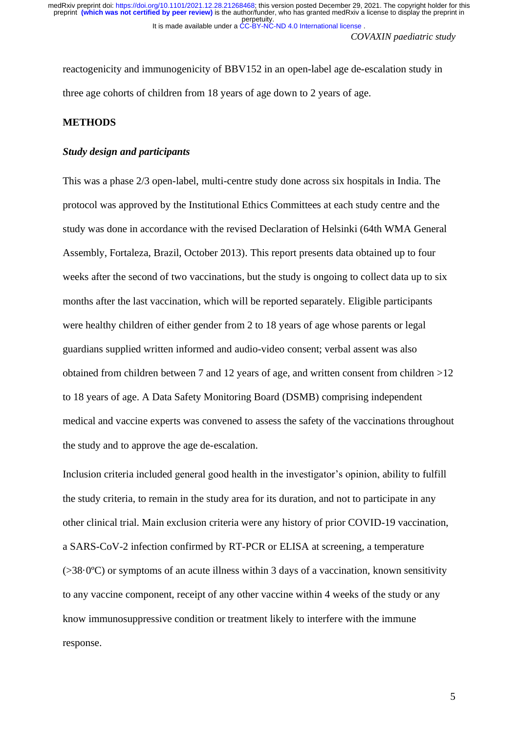*COVAXIN paediatric study*

reactogenicity and immunogenicity of BBV152 in an open-label age de-escalation study in three age cohorts of children from 18 years of age down to 2 years of age.

#### **METHODS**

#### *Study design and participants*

This was a phase 2/3 open-label, multi-centre study done across six hospitals in India. The protocol was approved by the Institutional Ethics Committees at each study centre and the study was done in accordance with the revised Declaration of Helsinki (64th WMA General Assembly, Fortaleza, Brazil, October 2013). This report presents data obtained up to four weeks after the second of two vaccinations, but the study is ongoing to collect data up to six months after the last vaccination, which will be reported separately. Eligible participants were healthy children of either gender from 2 to 18 years of age whose parents or legal guardians supplied written informed and audio-video consent; verbal assent was also obtained from children between 7 and 12 years of age, and written consent from children >12 to 18 years of age. A Data Safety Monitoring Board (DSMB) comprising independent medical and vaccine experts was convened to assess the safety of the vaccinations throughout the study and to approve the age de-escalation.

Inclusion criteria included general good health in the investigator's opinion, ability to fulfill the study criteria, to remain in the study area for its duration, and not to participate in any other clinical trial. Main exclusion criteria were any history of prior COVID-19 vaccination, a SARS-CoV-2 infection confirmed by RT-PCR or ELISA at screening, a temperature  $(>=38.0^{\circ}C)$  or symptoms of an acute illness within 3 days of a vaccination, known sensitivity to any vaccine component, receipt of any other vaccine within 4 weeks of the study or any know immunosuppressive condition or treatment likely to interfere with the immune response.

5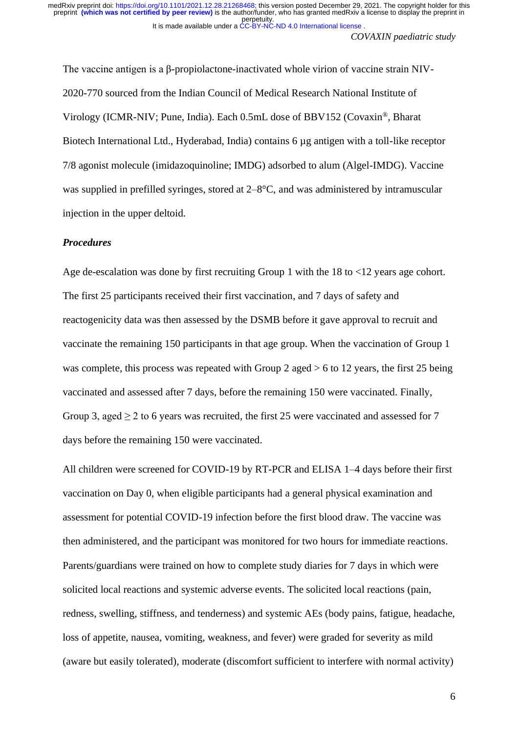*COVAXIN paediatric study*

The vaccine antigen is a β-propiolactone-inactivated whole virion of vaccine strain NIV-2020-770 sourced from the Indian Council of Medical Research National Institute of Virology (ICMR-NIV; Pune, India). Each 0.5mL dose of BBV152 (Covaxin®, Bharat Biotech International Ltd., Hyderabad, India) contains 6 µg antigen with a toll-like receptor 7/8 agonist molecule (imidazoquinoline; IMDG) adsorbed to alum (Algel-IMDG). Vaccine was supplied in prefilled syringes, stored at  $2-8$ °C, and was administered by intramuscular injection in the upper deltoid.

### *Procedures*

Age de-escalation was done by first recruiting Group 1 with the 18 to  $\langle 12 \rangle$  years age cohort. The first 25 participants received their first vaccination, and 7 days of safety and reactogenicity data was then assessed by the DSMB before it gave approval to recruit and vaccinate the remaining 150 participants in that age group. When the vaccination of Group 1 was complete, this process was repeated with Group 2 aged > 6 to 12 years, the first 25 being vaccinated and assessed after 7 days, before the remaining 150 were vaccinated. Finally, Group 3, aged  $\geq 2$  to 6 years was recruited, the first 25 were vaccinated and assessed for 7 days before the remaining 150 were vaccinated.

All children were screened for COVID-19 by RT-PCR and ELISA 1–4 days before their first vaccination on Day 0, when eligible participants had a general physical examination and assessment for potential COVID-19 infection before the first blood draw. The vaccine was then administered, and the participant was monitored for two hours for immediate reactions. Parents/guardians were trained on how to complete study diaries for 7 days in which were solicited local reactions and systemic adverse events. The solicited local reactions (pain, redness, swelling, stiffness, and tenderness) and systemic AEs (body pains, fatigue, headache, loss of appetite, nausea, vomiting, weakness, and fever) were graded for severity as mild (aware but easily tolerated), moderate (discomfort sufficient to interfere with normal activity)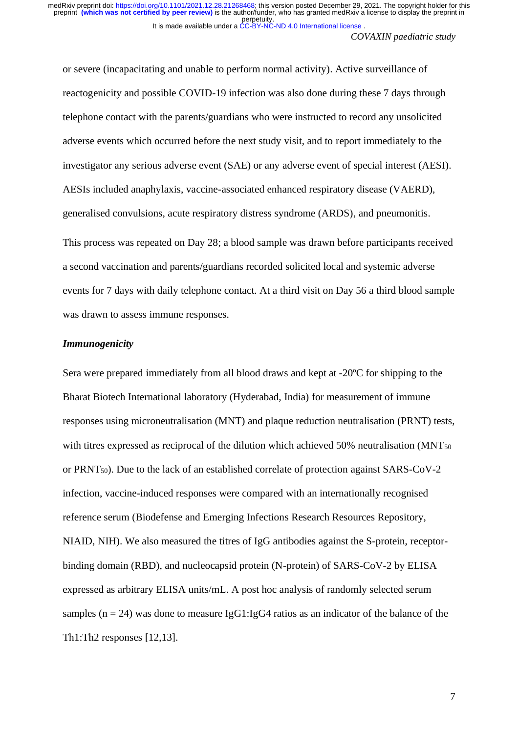*COVAXIN paediatric study*

or severe (incapacitating and unable to perform normal activity). Active surveillance of reactogenicity and possible COVID-19 infection was also done during these 7 days through telephone contact with the parents/guardians who were instructed to record any unsolicited adverse events which occurred before the next study visit, and to report immediately to the investigator any serious adverse event (SAE) or any adverse event of special interest (AESI). AESIs included anaphylaxis, vaccine-associated enhanced respiratory disease (VAERD), generalised convulsions, acute respiratory distress syndrome (ARDS), and pneumonitis.

This process was repeated on Day 28; a blood sample was drawn before participants received a second vaccination and parents/guardians recorded solicited local and systemic adverse events for 7 days with daily telephone contact. At a third visit on Day 56 a third blood sample was drawn to assess immune responses.

### *Immunogenicity*

Sera were prepared immediately from all blood draws and kept at -20ºC for shipping to the Bharat Biotech International laboratory (Hyderabad, India) for measurement of immune responses using microneutralisation (MNT) and plaque reduction neutralisation (PRNT) tests, with titres expressed as reciprocal of the dilution which achieved 50% neutralisation (MNT<sub>50</sub>) or PRNT50). Due to the lack of an established correlate of protection against SARS-CoV-2 infection, vaccine-induced responses were compared with an internationally recognised reference serum (Biodefense and Emerging Infections Research Resources Repository, NIAID, NIH). We also measured the titres of IgG antibodies against the S-protein, receptorbinding domain (RBD), and nucleocapsid protein (N-protein) of SARS-CoV-2 by ELISA expressed as arbitrary ELISA units/mL. A post hoc analysis of randomly selected serum samples ( $n = 24$ ) was done to measure IgG1:IgG4 ratios as an indicator of the balance of the Th1:Th2 responses [12,13].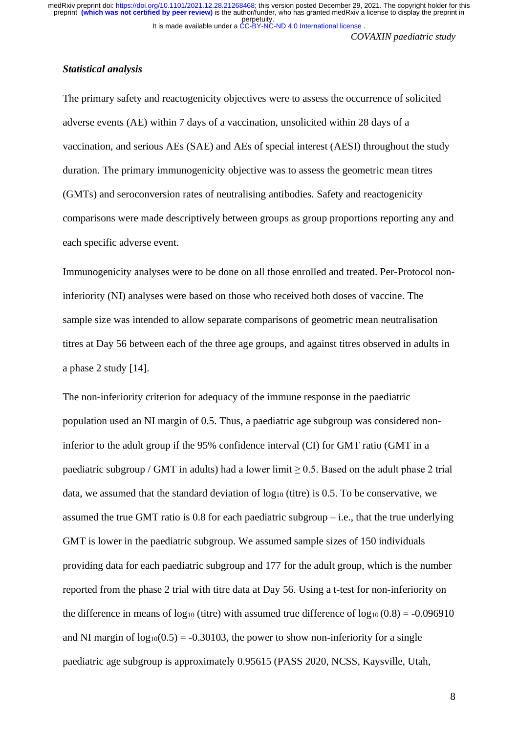*COVAXIN paediatric study*

### *Statistical analysis*

The primary safety and reactogenicity objectives were to assess the occurrence of solicited adverse events (AE) within 7 days of a vaccination, unsolicited within 28 days of a vaccination, and serious AEs (SAE) and AEs of special interest (AESI) throughout the study duration. The primary immunogenicity objective was to assess the geometric mean titres (GMTs) and seroconversion rates of neutralising antibodies. Safety and reactogenicity comparisons were made descriptively between groups as group proportions reporting any and each specific adverse event.

Immunogenicity analyses were to be done on all those enrolled and treated. Per-Protocol noninferiority (NI) analyses were based on those who received both doses of vaccine. The sample size was intended to allow separate comparisons of geometric mean neutralisation titres at Day 56 between each of the three age groups, and against titres observed in adults in a phase 2 study [14].

The non-inferiority criterion for adequacy of the immune response in the paediatric population used an NI margin of 0.5. Thus, a paediatric age subgroup was considered noninferior to the adult group if the 95% confidence interval (CI) for GMT ratio (GMT in a paediatric subgroup / GMT in adults) had a lower limit  $\geq$  0.5. Based on the adult phase 2 trial data, we assumed that the standard deviation of  $log_{10}$  (titre) is 0.5. To be conservative, we assumed the true GMT ratio is  $0.8$  for each paediatric subgroup – i.e., that the true underlying GMT is lower in the paediatric subgroup. We assumed sample sizes of 150 individuals providing data for each paediatric subgroup and 177 for the adult group, which is the number reported from the phase 2 trial with titre data at Day 56. Using a t-test for non-inferiority on the difference in means of  $log_{10}$  (titre) with assumed true difference of  $log_{10} (0.8) = -0.096910$ and NI margin of  $log_{10}(0.5) = -0.30103$ , the power to show non-inferiority for a single paediatric age subgroup is approximately 0.95615 (PASS 2020, NCSS, Kaysville, Utah,

8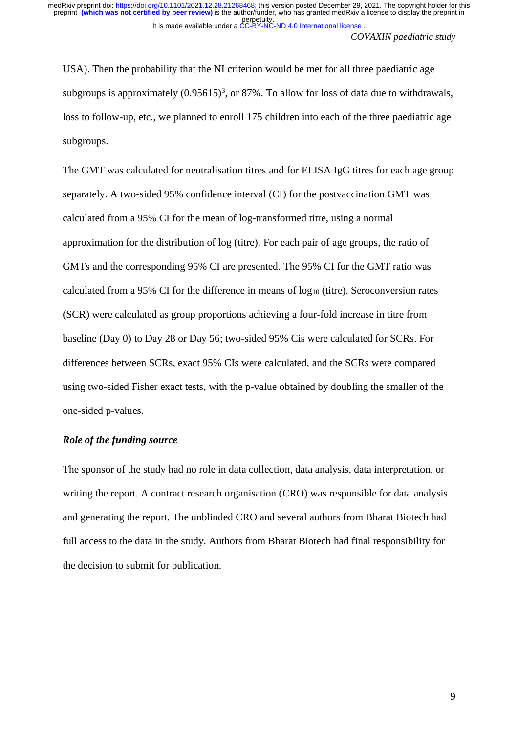#### *COVAXIN paediatric study*

USA). Then the probability that the NI criterion would be met for all three paediatric age subgroups is approximately  $(0.95615)^3$ , or 87%. To allow for loss of data due to withdrawals, loss to follow-up, etc., we planned to enroll 175 children into each of the three paediatric age subgroups.

The GMT was calculated for neutralisation titres and for ELISA IgG titres for each age group separately. A two-sided 95% confidence interval (CI) for the postvaccination GMT was calculated from a 95% CI for the mean of log-transformed titre, using a normal approximation for the distribution of log (titre). For each pair of age groups, the ratio of GMTs and the corresponding 95% CI are presented. The 95% CI for the GMT ratio was calculated from a 95% CI for the difference in means of  $log_{10}$  (titre). Seroconversion rates (SCR) were calculated as group proportions achieving a four-fold increase in titre from baseline (Day 0) to Day 28 or Day 56; two-sided 95% Cis were calculated for SCRs. For differences between SCRs, exact 95% CIs were calculated, and the SCRs were compared using two-sided Fisher exact tests, with the p-value obtained by doubling the smaller of the one-sided p-values.

### *Role of the funding source*

The sponsor of the study had no role in data collection, data analysis, data interpretation, or writing the report. A contract research organisation (CRO) was responsible for data analysis and generating the report. The unblinded CRO and several authors from Bharat Biotech had full access to the data in the study. Authors from Bharat Biotech had final responsibility for the decision to submit for publication.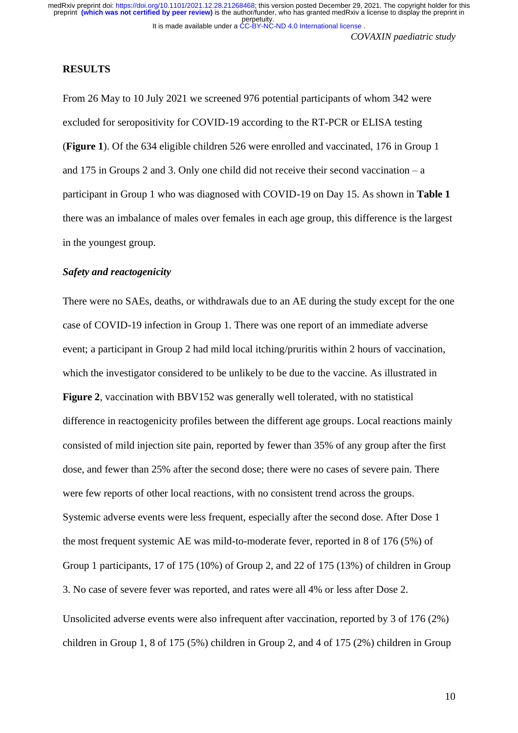perpetuity. preprint **(which was not certified by peer review)** is the author/funder, who has granted medRxiv a license to display the preprint in medRxiv preprint doi: [https://doi.org/10.1101/2021.12.28.21268468;](https://doi.org/10.1101/2021.12.28.21268468) this version posted December 29, 2021. The copyright holder for this

It is made available under a CC-BY-NC-ND 4.0 International license.

#### *COVAXIN paediatric study*

### **RESULTS**

From 26 May to 10 July 2021 we screened 976 potential participants of whom 342 were excluded for seropositivity for COVID-19 according to the RT-PCR or ELISA testing (**Figure 1**). Of the 634 eligible children 526 were enrolled and vaccinated, 176 in Group 1 and 175 in Groups 2 and 3. Only one child did not receive their second vaccination – a participant in Group 1 who was diagnosed with COVID-19 on Day 15. As shown in **Table 1** there was an imbalance of males over females in each age group, this difference is the largest in the youngest group.

### *Safety and reactogenicity*

There were no SAEs, deaths, or withdrawals due to an AE during the study except for the one case of COVID-19 infection in Group 1. There was one report of an immediate adverse event; a participant in Group 2 had mild local itching/pruritis within 2 hours of vaccination, which the investigator considered to be unlikely to be due to the vaccine. As illustrated in **Figure 2**, vaccination with BBV152 was generally well tolerated, with no statistical difference in reactogenicity profiles between the different age groups. Local reactions mainly consisted of mild injection site pain, reported by fewer than 35% of any group after the first dose, and fewer than 25% after the second dose; there were no cases of severe pain. There were few reports of other local reactions, with no consistent trend across the groups. Systemic adverse events were less frequent, especially after the second dose. After Dose 1 the most frequent systemic AE was mild-to-moderate fever, reported in 8 of 176 (5%) of Group 1 participants, 17 of 175 (10%) of Group 2, and 22 of 175 (13%) of children in Group 3. No case of severe fever was reported, and rates were all 4% or less after Dose 2.

Unsolicited adverse events were also infrequent after vaccination, reported by 3 of 176 (2%) children in Group 1, 8 of 175 (5%) children in Group 2, and 4 of 175 (2%) children in Group

10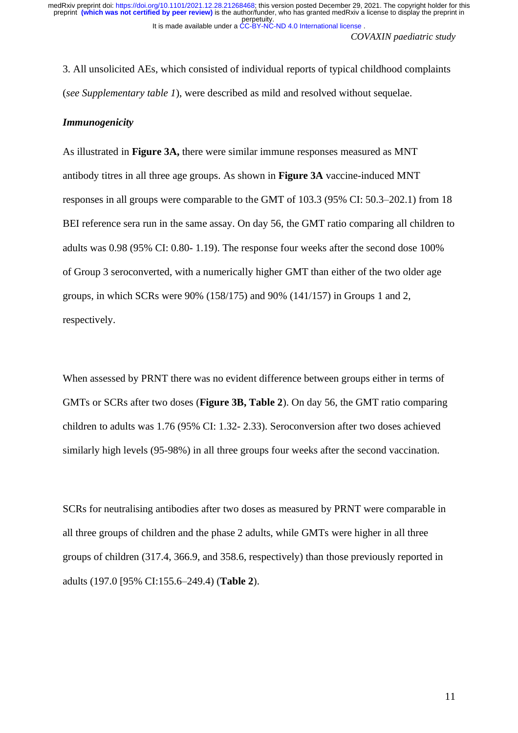*COVAXIN paediatric study*

3. All unsolicited AEs, which consisted of individual reports of typical childhood complaints (*see Supplementary table 1*), were described as mild and resolved without sequelae.

### *Immunogenicity*

As illustrated in **Figure 3A,** there were similar immune responses measured as MNT antibody titres in all three age groups. As shown in **Figure 3A** vaccine-induced MNT responses in all groups were comparable to the GMT of 103.3 (95% CI: 50.3–202.1) from 18 BEI reference sera run in the same assay. On day 56, the GMT ratio comparing all children to adults was 0.98 (95% CI: 0.80- 1.19). The response four weeks after the second dose 100% of Group 3 seroconverted, with a numerically higher GMT than either of the two older age groups, in which SCRs were 90% (158/175) and 90% (141/157) in Groups 1 and 2, respectively.

When assessed by PRNT there was no evident difference between groups either in terms of GMTs or SCRs after two doses (**Figure 3B, Table 2**). On day 56, the GMT ratio comparing children to adults was 1.76 (95% CI: 1.32- 2.33). Seroconversion after two doses achieved similarly high levels (95-98%) in all three groups four weeks after the second vaccination.

SCRs for neutralising antibodies after two doses as measured by PRNT were comparable in all three groups of children and the phase 2 adults, while GMTs were higher in all three groups of children (317.4, 366.9, and 358.6, respectively) than those previously reported in adults (197.0 [95% CI:155.6–249.4) (**Table 2**).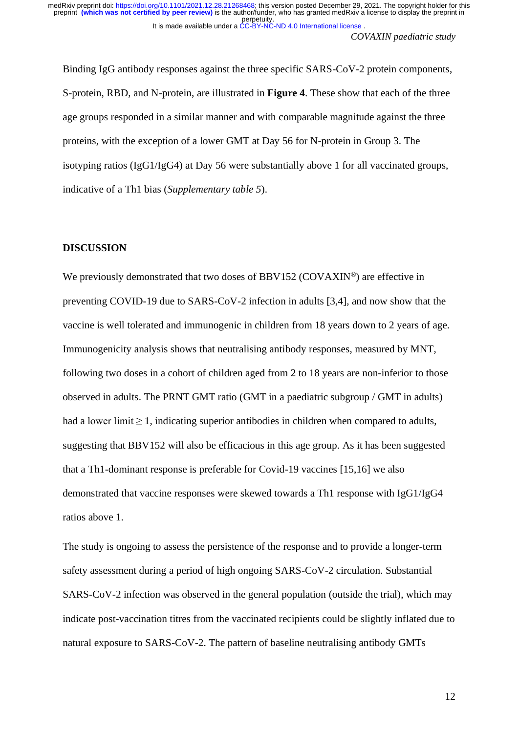#### *COVAXIN paediatric study*

Binding IgG antibody responses against the three specific SARS-CoV-2 protein components, S-protein, RBD, and N-protein, are illustrated in **Figure 4**. These show that each of the three age groups responded in a similar manner and with comparable magnitude against the three proteins, with the exception of a lower GMT at Day 56 for N-protein in Group 3. The isotyping ratios (IgG1/IgG4) at Day 56 were substantially above 1 for all vaccinated groups, indicative of a Th1 bias (*Supplementary table 5*).

#### **DISCUSSION**

We previously demonstrated that two doses of BBV152 (COVAXIN®) are effective in preventing COVID-19 due to SARS-CoV-2 infection in adults [3,4], and now show that the vaccine is well tolerated and immunogenic in children from 18 years down to 2 years of age. Immunogenicity analysis shows that neutralising antibody responses, measured by MNT, following two doses in a cohort of children aged from 2 to 18 years are non-inferior to those observed in adults. The PRNT GMT ratio (GMT in a paediatric subgroup / GMT in adults) had a lower limit  $\geq 1$ , indicating superior antibodies in children when compared to adults, suggesting that BBV152 will also be efficacious in this age group. As it has been suggested that a Th1-dominant response is preferable for Covid-19 vaccines [15,16] we also demonstrated that vaccine responses were skewed towards a Th1 response with IgG1/IgG4 ratios above 1.

The study is ongoing to assess the persistence of the response and to provide a longer-term safety assessment during a period of high ongoing SARS-CoV-2 circulation. Substantial SARS-CoV-2 infection was observed in the general population (outside the trial), which may indicate post-vaccination titres from the vaccinated recipients could be slightly inflated due to natural exposure to SARS-CoV-2. The pattern of baseline neutralising antibody GMTs

12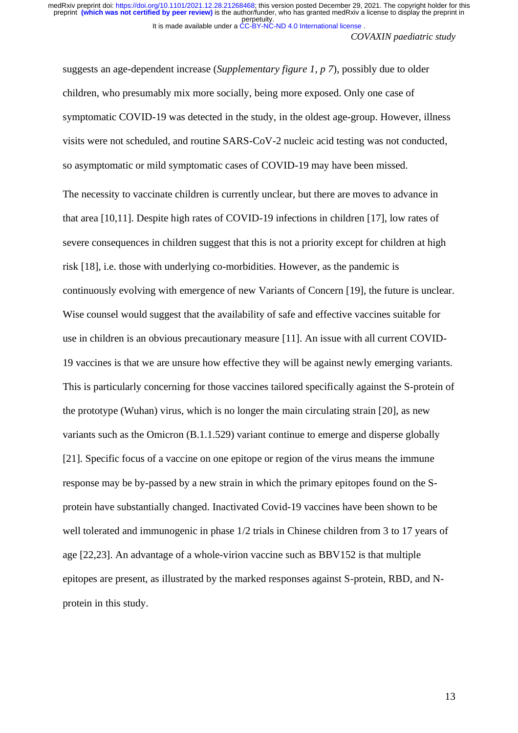*COVAXIN paediatric study*

suggests an age-dependent increase (*Supplementary figure 1, p 7*), possibly due to older children, who presumably mix more socially, being more exposed. Only one case of symptomatic COVID-19 was detected in the study, in the oldest age-group. However, illness visits were not scheduled, and routine SARS-CoV-2 nucleic acid testing was not conducted, so asymptomatic or mild symptomatic cases of COVID-19 may have been missed.

The necessity to vaccinate children is currently unclear, but there are moves to advance in that area [10,11]. Despite high rates of COVID-19 infections in children [17], low rates of severe consequences in children suggest that this is not a priority except for children at high risk [18], i.e. those with underlying co-morbidities. However, as the pandemic is continuously evolving with emergence of new Variants of Concern [19], the future is unclear. Wise counsel would suggest that the availability of safe and effective vaccines suitable for use in children is an obvious precautionary measure [11]. An issue with all current COVID-19 vaccines is that we are unsure how effective they will be against newly emerging variants. This is particularly concerning for those vaccines tailored specifically against the S-protein of the prototype (Wuhan) virus, which is no longer the main circulating strain [20], as new variants such as the Omicron (B.1.1.529) variant continue to emerge and disperse globally [21]. Specific focus of a vaccine on one epitope or region of the virus means the immune response may be by-passed by a new strain in which the primary epitopes found on the Sprotein have substantially changed. Inactivated Covid-19 vaccines have been shown to be well tolerated and immunogenic in phase 1/2 trials in Chinese children from 3 to 17 years of age [22,23]. An advantage of a whole-virion vaccine such as BBV152 is that multiple epitopes are present, as illustrated by the marked responses against S-protein, RBD, and Nprotein in this study.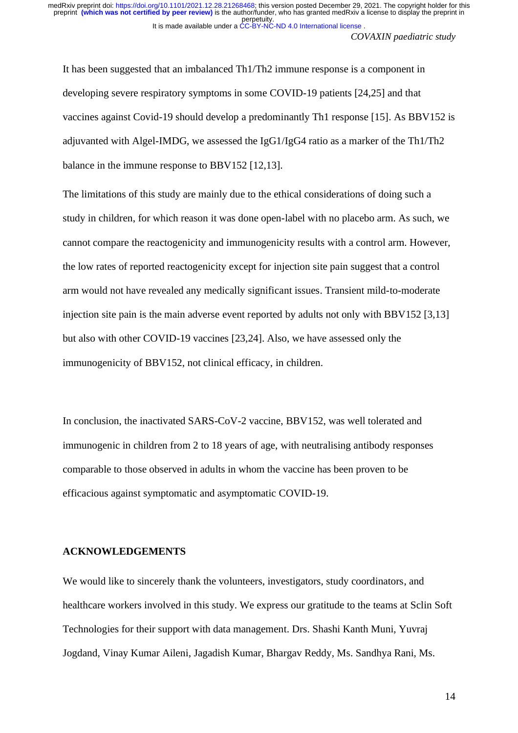*COVAXIN paediatric study*

It has been suggested that an imbalanced Th1/Th2 immune response is a component in developing severe respiratory symptoms in some COVID-19 patients [24,25] and that vaccines against Covid-19 should develop a predominantly Th1 response [15]. As BBV152 is adjuvanted with Algel-IMDG, we assessed the IgG1/IgG4 ratio as a marker of the Th1/Th2 balance in the immune response to BBV152 [12,13].

The limitations of this study are mainly due to the ethical considerations of doing such a study in children, for which reason it was done open-label with no placebo arm. As such, we cannot compare the reactogenicity and immunogenicity results with a control arm. However, the low rates of reported reactogenicity except for injection site pain suggest that a control arm would not have revealed any medically significant issues. Transient mild-to-moderate injection site pain is the main adverse event reported by adults not only with BBV152 [3,13] but also with other COVID-19 vaccines [23,24]. Also, we have assessed only the immunogenicity of BBV152, not clinical efficacy, in children.

In conclusion, the inactivated SARS-CoV-2 vaccine, BBV152, was well tolerated and immunogenic in children from 2 to 18 years of age, with neutralising antibody responses comparable to those observed in adults in whom the vaccine has been proven to be efficacious against symptomatic and asymptomatic COVID-19.

### **ACKNOWLEDGEMENTS**

We would like to sincerely thank the volunteers, investigators, study coordinators, and healthcare workers involved in this study. We express our gratitude to the teams at Sclin Soft Technologies for their support with data management. Drs. Shashi Kanth Muni, Yuvraj Jogdand, Vinay Kumar Aileni, Jagadish Kumar, Bhargav Reddy, Ms. Sandhya Rani, Ms.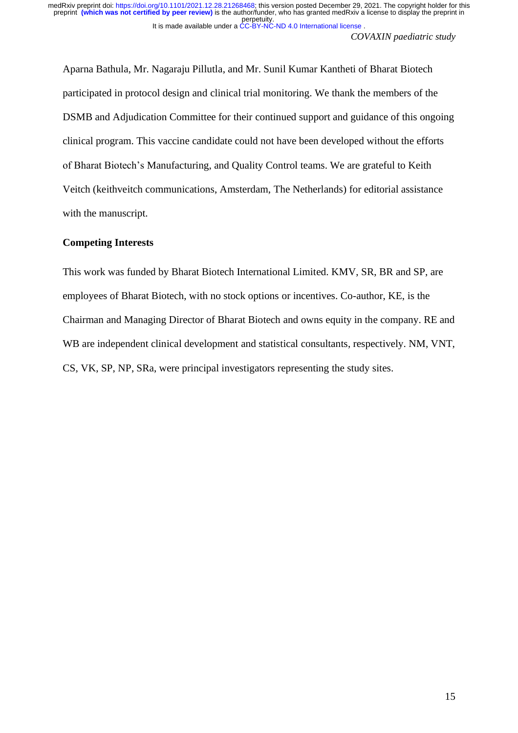*COVAXIN paediatric study*

Aparna Bathula, Mr. Nagaraju Pillutla, and Mr. Sunil Kumar Kantheti of Bharat Biotech participated in protocol design and clinical trial monitoring. We thank the members of the DSMB and Adjudication Committee for their continued support and guidance of this ongoing clinical program. This vaccine candidate could not have been developed without the efforts of Bharat Biotech's Manufacturing, and Quality Control teams. We are grateful to Keith Veitch (keithveitch communications, Amsterdam, The Netherlands) for editorial assistance with the manuscript.

### **Competing Interests**

This work was funded by Bharat Biotech International Limited. KMV, SR, BR and SP, are employees of Bharat Biotech, with no stock options or incentives. Co-author, KE, is the Chairman and Managing Director of Bharat Biotech and owns equity in the company. RE and WB are independent clinical development and statistical consultants, respectively. NM, VNT, CS, VK, SP, NP, SRa, were principal investigators representing the study sites.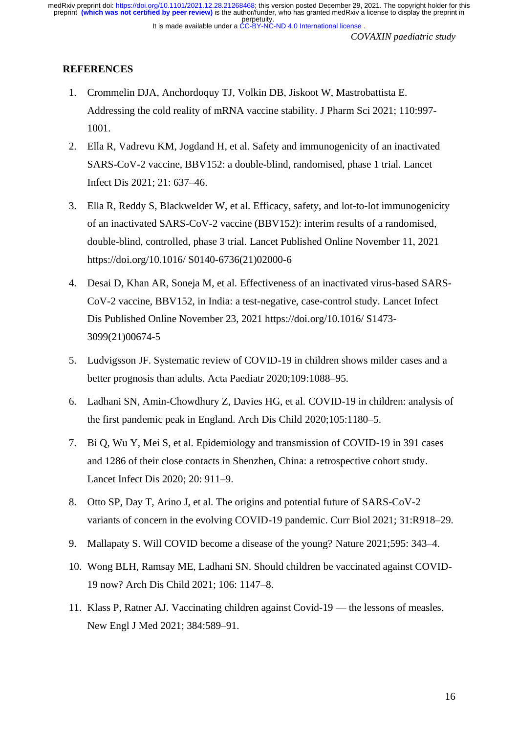*COVAXIN paediatric study*

### **REFERENCES**

- 1. Crommelin DJA, Anchordoquy TJ, Volkin DB, Jiskoot W, Mastrobattista E. Addressing the cold reality of mRNA vaccine stability. J Pharm Sci 2021; 110:997- 1001.
- 2. Ella R, Vadrevu KM, Jogdand H, et al. Safety and immunogenicity of an inactivated SARS-CoV-2 vaccine, BBV152: a double-blind, randomised, phase 1 trial. Lancet Infect Dis 2021; 21: 637–46.
- 3. Ella R, Reddy S, Blackwelder W, et al. Efficacy, safety, and lot-to-lot immunogenicity of an inactivated SARS-CoV-2 vaccine (BBV152): interim results of a randomised, double-blind, controlled, phase 3 trial. Lancet Published Online November 11, 2021 https://doi.org/10.1016/ S0140-6736(21)02000-6
- 4. Desai D, Khan AR, Soneja M, et al. Effectiveness of an inactivated virus-based SARS-CoV-2 vaccine, BBV152, in India: a test-negative, case-control study. Lancet Infect Dis Published Online November 23, 2021 https://doi.org/10.1016/ S1473- 3099(21)00674-5
- 5. Ludvigsson JF. Systematic review of COVID-19 in children shows milder cases and a better prognosis than adults. Acta Paediatr 2020;109:1088–95.
- 6. Ladhani SN, Amin-Chowdhury Z, Davies HG, et al. COVID-19 in children: analysis of the first pandemic peak in England. Arch Dis Child 2020;105:1180–5.
- 7. Bi Q, Wu Y, Mei S, et al. Epidemiology and transmission of COVID-19 in 391 cases and 1286 of their close contacts in Shenzhen, China: a retrospective cohort study. Lancet Infect Dis 2020; 20: 911–9.
- 8. Otto SP, Day T, Arino J, et al. The origins and potential future of SARS-CoV-2 variants of concern in the evolving COVID-19 pandemic. Curr Biol 2021; 31:R918–29.
- 9. Mallapaty S. Will COVID become a disease of the young? Nature 2021;595: 343–4.
- 10. Wong BLH, Ramsay ME, Ladhani SN. Should children be vaccinated against COVID-19 now? Arch Dis Child 2021; 106: 1147–8.
- 11. Klass P, Ratner AJ. Vaccinating children against Covid-19 the lessons of measles. New Engl J Med 2021; 384:589–91.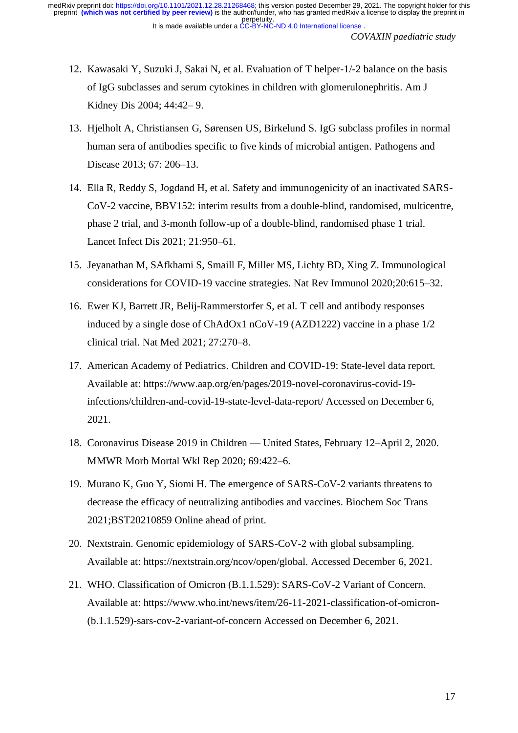- 12. Kawasaki Y, Suzuki J, Sakai N, et al. Evaluation of T helper-1/-2 balance on the basis of IgG subclasses and serum cytokines in children with glomerulonephritis. Am J Kidney Dis 2004; 44:42– 9.
- 13. Hjelholt A, Christiansen G, Sørensen US, Birkelund S. IgG subclass profiles in normal human sera of antibodies specific to five kinds of microbial antigen. Pathogens and Disease 2013; 67: 206–13.
- 14. Ella R, Reddy S, Jogdand H, et al. Safety and immunogenicity of an inactivated SARS-CoV-2 vaccine, BBV152: interim results from a double-blind, randomised, multicentre, phase 2 trial, and 3-month follow-up of a double-blind, randomised phase 1 trial. Lancet Infect Dis 2021; 21:950–61.
- 15. Jeyanathan M, SAfkhami S, Smaill F, Miller MS, Lichty BD, Xing Z. Immunological considerations for COVID-19 vaccine strategies. Nat Rev Immunol 2020;20:615–32.
- 16. Ewer KJ, Barrett JR, Belij-Rammerstorfer S, et al. T cell and antibody responses induced by a single dose of ChAdOx1 nCoV-19 (AZD1222) vaccine in a phase 1/2 clinical trial. Nat Med 2021; 27:270–8.
- 17. American Academy of Pediatrics. Children and COVID-19: State-level data report. Available at: https://www.aap.org/en/pages/2019-novel-coronavirus-covid-19 infections/children-and-covid-19-state-level-data-report/ Accessed on December 6, 2021.
- 18. Coronavirus Disease 2019 in Children United States, February 12–April 2, 2020. MMWR Morb Mortal Wkl Rep 2020; 69:422–6.
- 19. Murano K, Guo Y, Siomi H. The emergence of SARS-CoV-2 variants threatens to decrease the efficacy of neutralizing antibodies and vaccines. Biochem Soc Trans 2021;BST20210859 Online ahead of print.
- 20. Nextstrain. Genomic epidemiology of SARS-CoV-2 with global subsampling. Available at: https://nextstrain.org/ncov/open/global. Accessed December 6, 2021.
- 21. WHO. Classification of Omicron (B.1.1.529): SARS-CoV-2 Variant of Concern. Available at: https://www.who.int/news/item/26-11-2021-classification-of-omicron- (b.1.1.529)-sars-cov-2-variant-of-concern Accessed on December 6, 2021.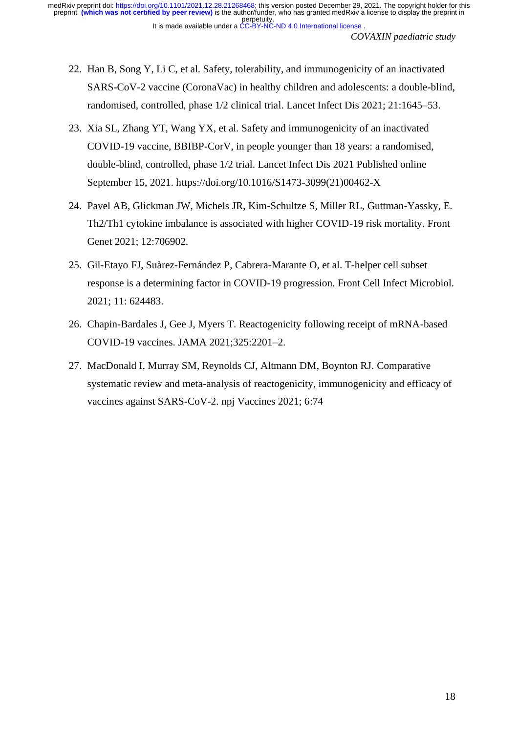- 22. Han B, Song Y, Li C, et al. Safety, tolerability, and immunogenicity of an inactivated SARS-CoV-2 vaccine (CoronaVac) in healthy children and adolescents: a double-blind, randomised, controlled, phase 1/2 clinical trial. Lancet Infect Dis 2021; 21:1645–53.
- 23. Xia SL, Zhang YT, Wang YX, et al. Safety and immunogenicity of an inactivated COVID-19 vaccine, BBIBP-CorV, in people younger than 18 years: a randomised, double-blind, controlled, phase 1/2 trial. Lancet Infect Dis 2021 Published online September 15, 2021. https://doi.org/10.1016/S1473-3099(21)00462-X
- 24. Pavel AB, Glickman JW, Michels JR, Kim-Schultze S, Miller RL, Guttman-Yassky, E. Th2/Th1 cytokine imbalance is associated with higher COVID-19 risk mortality. Front Genet 2021; 12:706902.
- 25. Gil-Etayo FJ, Suàrez-Fernández P, Cabrera-Marante O, et al. T-helper cell subset response is a determining factor in COVID-19 progression. Front Cell Infect Microbiol. 2021; 11: 624483.
- 26. Chapin-Bardales J, Gee J, Myers T. Reactogenicity following receipt of mRNA-based COVID-19 vaccines. JAMA 2021;325:2201–2.
- 27. MacDonald I, Murray SM, Reynolds CJ, Altmann DM, Boynton RJ. Comparative systematic review and meta-analysis of reactogenicity, immunogenicity and efficacy of vaccines against SARS-CoV-2. npj Vaccines 2021; 6:74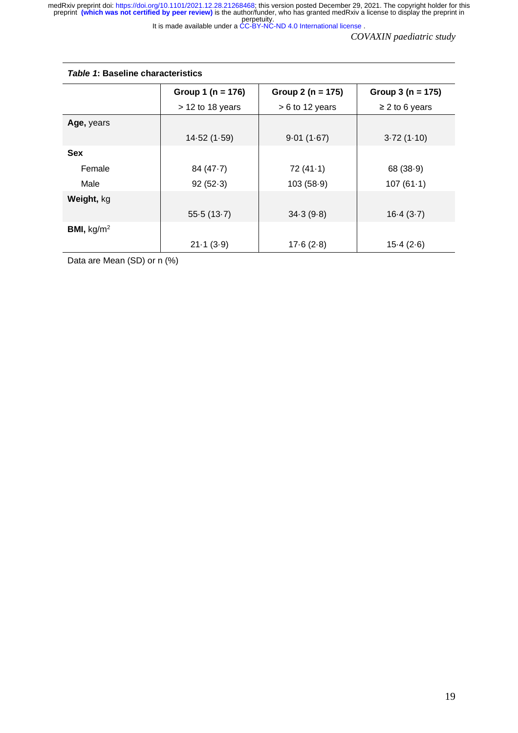It is made available under a CC-BY-NC-ND 4.0 International license.

*COVAXIN paediatric study*

| <b>Table 1: Baseline characteristics</b> |                       |                       |                     |  |
|------------------------------------------|-----------------------|-----------------------|---------------------|--|
|                                          | Group 1 ( $n = 176$ ) | Group 2 ( $n = 175$ ) | Group $3(n = 175)$  |  |
|                                          | $> 12$ to 18 years    | $> 6$ to 12 years     | $\geq$ 2 to 6 years |  |
| Age, years                               |                       |                       |                     |  |
|                                          | 14.52(1.59)           | 9.01(1.67)            | 3.72(1.10)          |  |
| <b>Sex</b>                               |                       |                       |                     |  |
| Female                                   | 84(47.7)              | 72(41.1)              | 68(38.9)            |  |
| Male                                     | 92(52.3)              | 103(58.9)             | 107(61.1)           |  |
| Weight, kg                               |                       |                       |                     |  |
|                                          | 55.5(13.7)            | 34.3(9.8)             | 16.4(3.7)           |  |
| <b>BMI</b> , $kg/m2$                     |                       |                       |                     |  |
|                                          | 21.1(3.9)             | 17.6(2.8)             | 15.4(2.6)           |  |

Data are Mean (SD) or n (%)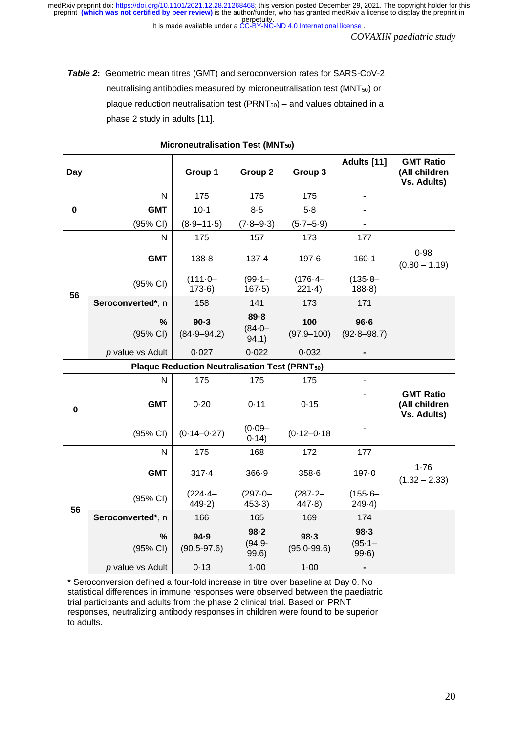It is made available under a CC-BY-NC-ND 4.0 International license.

*COVAXIN paediatric study*

*Table 2:* Geometric mean titres (GMT) and seroconversion rates for SARS-CoV-2 neutralising antibodies measured by microneutralisation test (MNT50) or plaque reduction neutralisation test ( $PRNT<sub>50</sub>$ ) – and values obtained in a phase 2 study in adults [11].

| <u>MICLOROM ANGUNITI I CSL (MILLISU)</u> |                   |                                                      |                                |                           |                              |                                                         |
|------------------------------------------|-------------------|------------------------------------------------------|--------------------------------|---------------------------|------------------------------|---------------------------------------------------------|
| Day                                      |                   | Group 1                                              | Group <sub>2</sub>             | Group 3                   | Adults [11]                  | <b>GMT Ratio</b><br>(All children<br><b>Vs. Adults)</b> |
|                                          | N                 | 175                                                  | 175                            | 175                       | $\blacksquare$               |                                                         |
| $\pmb{0}$                                | <b>GMT</b>        | $10 - 1$                                             | $8 - 5$                        | $5 - 8$                   |                              |                                                         |
|                                          | (95% CI)          | $(8.9 - 11.5)$                                       | $(7.8 - 9.3)$                  | $(5.7 - 5.9)$             |                              |                                                         |
|                                          | N                 | 175                                                  | 157                            | 173                       | 177                          |                                                         |
|                                          | <b>GMT</b>        | $138 - 8$                                            | 137.4                          | 197.6                     | $160 - 1$                    | 0.98<br>$(0.80 - 1.19)$                                 |
| 56                                       | (95% CI)          | $(111.0 -$<br>173.6                                  | $(99.1 -$<br>167.5             | $(176.4 -$<br>$221-4)$    | $(135.8 -$<br>$188-8$        |                                                         |
|                                          | Seroconverted*, n | 158                                                  | 141                            | 173                       | 171                          |                                                         |
|                                          | %<br>(95% CI)     | $90-3$<br>$(84.9 - 94.2)$                            | $89 - 8$<br>$(84.0 -$          | 100<br>$(97.9 - 100)$     | $96 - 6$<br>$(92.8 - 98.7)$  |                                                         |
|                                          |                   |                                                      | 94.1)                          |                           |                              |                                                         |
|                                          | p value vs Adult  | 0.027                                                | 0.022                          | 0.032                     |                              |                                                         |
|                                          |                   | <b>Plaque Reduction Neutralisation Test (PRNT50)</b> |                                |                           |                              |                                                         |
|                                          | N                 | 175                                                  | 175                            | 175                       |                              |                                                         |
| $\pmb{0}$                                | <b>GMT</b>        | $0 - 20$                                             | 0.11                           | 0.15                      |                              | <b>GMT Ratio</b><br>(All children<br>Vs. Adults)        |
|                                          | (95% CI)          | $(0.14 - 0.27)$                                      | $(0.09 -$<br>0.14)             | $(0.12 - 0.18)$           |                              |                                                         |
|                                          | N                 | 175                                                  | 168                            | 172                       | 177                          |                                                         |
|                                          | <b>GMT</b>        | 317.4                                                | 366.9                          | $358 - 6$                 | 197.0                        | 1.76<br>$(1.32 - 2.33)$                                 |
|                                          | (95% CI)          | $(224.4 -$<br>449.2                                  | $(297.0 -$<br>453.3)           | $(287.2 -$<br>447.8       | $(155.6 -$<br>249.4)         |                                                         |
| 56                                       | Seroconverted*, n | 166                                                  | 165                            | 169                       | 174                          |                                                         |
|                                          | %<br>(95% CI)     | 94.9<br>$(90.5 - 97.6)$                              | $98 - 2$<br>$(94.9 -$<br>99.6) | $98-3$<br>$(95.0 - 99.6)$ | $98-3$<br>$(95.1 -$<br>99.6) |                                                         |
|                                          | p value vs Adult  | 0.13                                                 | $1 - 00$                       | $1 - 00$                  |                              |                                                         |

**Microneutralisation Test (MNT50)**

\* Seroconversion defined a four-fold increase in titre over baseline at Day 0. No statistical differences in immune responses were observed between the paediatric trial participants and adults from the phase 2 clinical trial. Based on PRNT responses, neutralizing antibody responses in children were found to be superior to adults.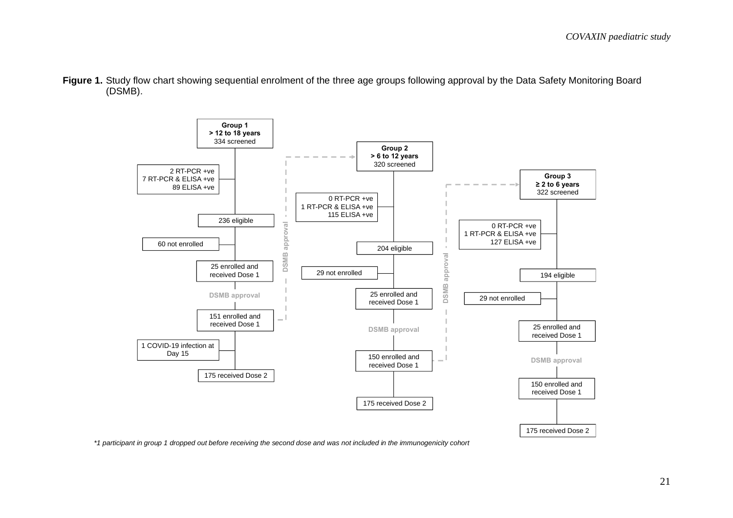

**Figure 1.** Study flow chart showing sequential enrolment of the three age groups following approval by the Data Safety Monitoring Board (DSMB).

*\*1 participant in group 1 dropped out before receiving the second dose and was not included in the immunogenicity cohort*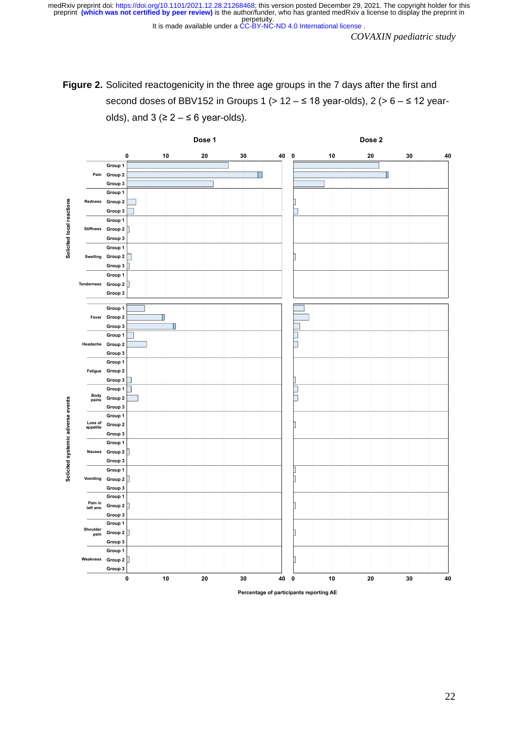It is made available under a CC-BY-NC-ND 4.0 International license.

*COVAXIN paediatric study*

## **Figure 2.** Solicited reactogenicity in the three age groups in the 7 days after the first and second doses of BBV152 in Groups 1 ( $> 12 - \le 18$  year-olds), 2 ( $> 6 - \le 12$  yearolds), and  $3$  ( $\geq 2 - \leq 6$  year-olds).



22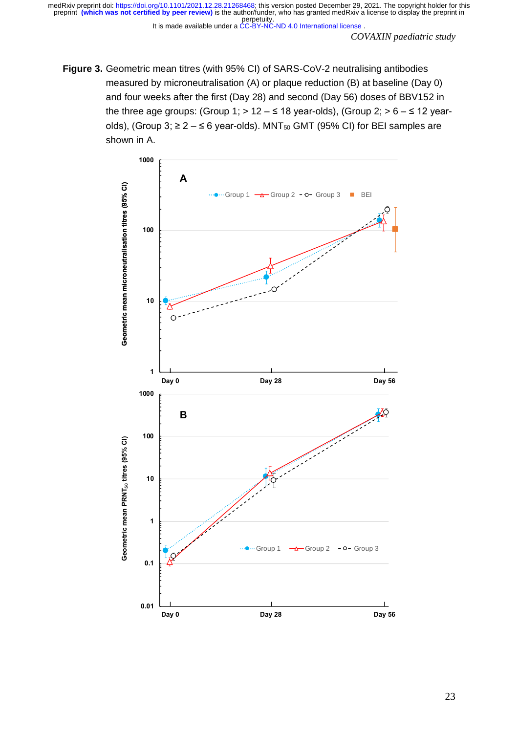It is made available under a CC-BY-NC-ND 4.0 International license.

*COVAXIN paediatric study*

**Figure 3.** Geometric mean titres (with 95% CI) of SARS-CoV-2 neutralising antibodies measured by microneutralisation (A) or plaque reduction (B) at baseline (Day 0) and four weeks after the first (Day 28) and second (Day 56) doses of BBV152 in the three age groups: (Group 1;  $> 12 - \le 18$  year-olds), (Group 2;  $> 6 - \le 12$  yearolds), (Group 3;  $\geq$  2 –  $\leq$  6 year-olds). MNT<sub>50</sub> GMT (95% CI) for BEI samples are shown in A.

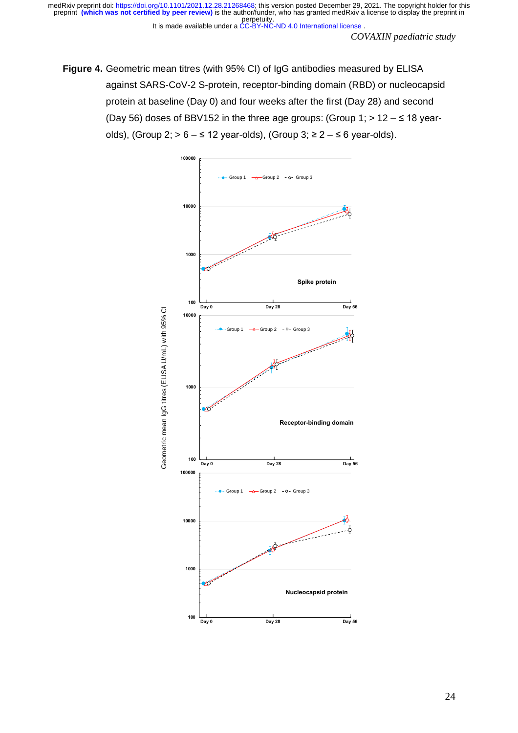It is made available under a CC-BY-NC-ND 4.0 International license.

*COVAXIN paediatric study*

**Figure 4.** Geometric mean titres (with 95% CI) of IgG antibodies measured by ELISA against SARS-CoV-2 S-protein, receptor-binding domain (RBD) or nucleocapsid protein at baseline (Day 0) and four weeks after the first (Day 28) and second (Day 56) doses of BBV152 in the three age groups: (Group 1;  $> 12 - \le 18$  yearolds), (Group 2;  $> 6 - \le 12$  year-olds), (Group 3;  $\ge 2 - \le 6$  year-olds).

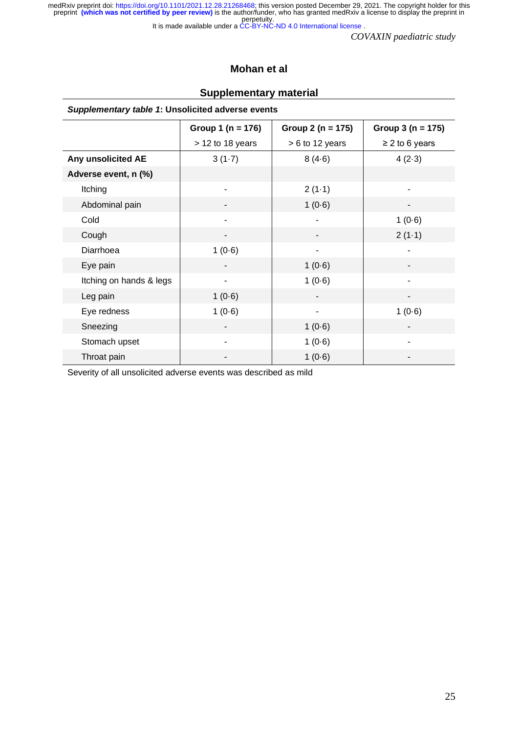It is made available under a CC-BY-NC-ND 4.0 International license.

### *COVAXIN paediatric study*

### **Mohan et al**

### **Supplementary material**

#### *Supplementary table 1***: Unsolicited adverse events**

|                         | Group 1 ( $n = 176$ ) | Group 2 ( $n = 175$ )    | Group $3(n = 175)$  |
|-------------------------|-----------------------|--------------------------|---------------------|
|                         | $> 12$ to 18 years    | $> 6$ to 12 years        | $\geq$ 2 to 6 years |
| Any unsolicited AE      | $3(1-7)$              | 8(4.6)                   | $4(2-3)$            |
| Adverse event, n (%)    |                       |                          |                     |
| Itching                 |                       | $2(1-1)$                 |                     |
| Abdominal pain          |                       | 1(0.6)                   |                     |
| Cold                    |                       |                          | 1(0.6)              |
| Cough                   |                       |                          | $2(1-1)$            |
| Diarrhoea               | 1(0.6)                | ٠                        |                     |
| Eye pain                |                       | 1(0.6)                   |                     |
| Itching on hands & legs |                       | 1(0.6)                   |                     |
| Leg pain                | 1(0.6)                | $\overline{\phantom{a}}$ |                     |
| Eye redness             | 1(0.6)                | $\overline{\phantom{a}}$ | 1(0.6)              |
| Sneezing                |                       | 1(0.6)                   |                     |
| Stomach upset           |                       | 1(0.6)                   |                     |
| Throat pain             |                       | 1(0.6)                   |                     |

Severity of all unsolicited adverse events was described as mild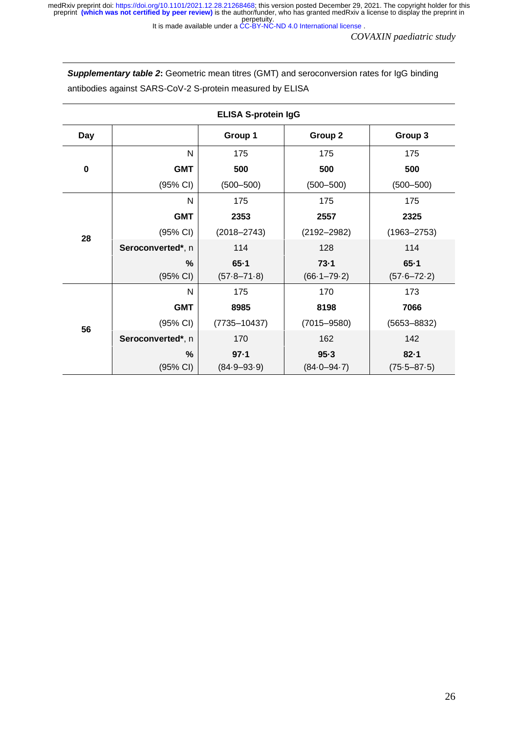It is made available under a CC-BY-NC-ND 4.0 International license.

#### *COVAXIN paediatric study*

**Supplementary table 2:** Geometric mean titres (GMT) and seroconversion rates for IgG binding antibodies against SARS-CoV-2 S-protein measured by ELISA

| <b>ELISA S-protein IgG</b> |                   |                  |                 |                 |
|----------------------------|-------------------|------------------|-----------------|-----------------|
| Day                        |                   | Group 1          | Group 2         | Group 3         |
|                            | N                 | 175              | 175             | 175             |
| $\bf{0}$                   | <b>GMT</b>        | 500              | 500             | 500             |
|                            | (95% CI)          | $(500 - 500)$    | $(500 - 500)$   | $(500 - 500)$   |
|                            | N                 | 175              | 175             | 175             |
|                            | <b>GMT</b>        | 2353             | 2557            | 2325            |
| 28                         | (95% CI)          | $(2018 - 2743)$  | $(2192 - 2982)$ | $(1963 - 2753)$ |
|                            | Seroconverted*, n | 114              | 128             | 114             |
|                            | $\%$              | $65 - 1$         | $73-1$          | $65 - 1$        |
|                            | (95% CI)          | $(57.8 - 71.8)$  | $(66.1 - 79.2)$ | $(57.6 - 72.2)$ |
|                            | N                 | 175              | 170             | 173             |
| 56                         | <b>GMT</b>        | 8985             | 8198            | 7066            |
|                            | (95% CI)          | $(7735 - 10437)$ | $(7015 - 9580)$ | $(5653 - 8832)$ |
|                            | Seroconverted*, n | 170              | 162             | 142             |
|                            | $\%$              | 97.1             | $95-3$          | $82 - 1$        |
|                            | (95% CI)          | $(84.9 - 93.9)$  | $(84.0 - 94.7)$ | $(75.5 - 87.5)$ |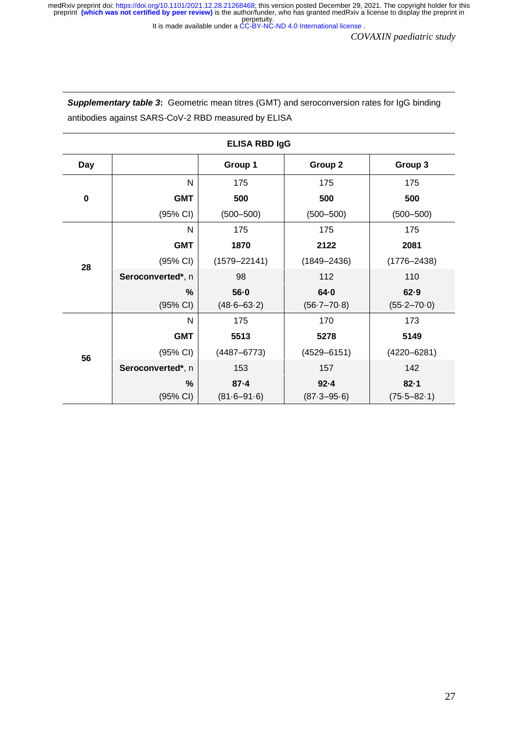It is made available under a CC-BY-NC-ND 4.0 International license.

**Supplementary table 3:** Geometric mean titres (GMT) and seroconversion rates for IgG binding antibodies against SARS-CoV-2 RBD measured by ELISA

| <b>ELISA RBD IgG</b> |                   |                  |                 |                 |
|----------------------|-------------------|------------------|-----------------|-----------------|
| <b>Day</b>           |                   | Group 1          | Group 2         | Group 3         |
|                      | $\mathsf{N}$      | 175              | 175             | 175             |
| $\pmb{0}$            | <b>GMT</b>        | 500              | 500             | 500             |
|                      | (95% CI)          | $(500 - 500)$    | $(500 - 500)$   | $(500 - 500)$   |
|                      | N                 | 175              | 175             | 175             |
|                      | <b>GMT</b>        | 1870             | 2122            | 2081            |
| 28                   | (95% CI)          | $(1579 - 22141)$ | $(1849 - 2436)$ | $(1776 - 2438)$ |
|                      | Seroconverted*, n | 98               | 112             | 110             |
|                      | %                 | $56 - 0$         | $64 - 0$        | $62-9$          |
|                      | (95% CI)          | $(48.6 - 63.2)$  | $(56.7 - 70.8)$ | $(55.2 - 70.0)$ |
|                      | $\mathsf{N}$      | 175              | 170             | 173             |
|                      | <b>GMT</b>        | 5513             | 5278            | 5149            |
| 56                   | (95% CI)          | $(4487 - 6773)$  | $(4529 - 6151)$ | $(4220 - 6281)$ |
|                      | Seroconverted*, n | 153              | 157             | 142             |
|                      | %                 | $87 - 4$         | $92 - 4$        | $82 - 1$        |
|                      | (95% CI)          | $(81.6 - 91.6)$  | $(87.3 - 95.6)$ | $(75.5 - 82.1)$ |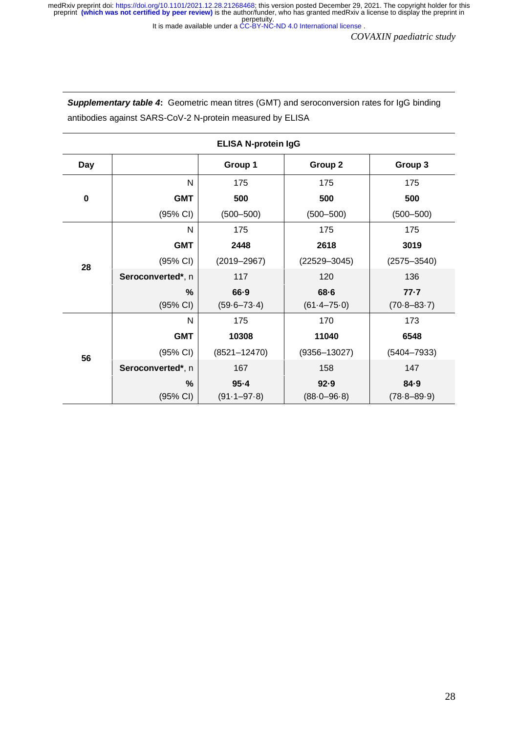It is made available under a CC-BY-NC-ND 4.0 International license.

*Supplementary table 4***:** Geometric mean titres (GMT) and seroconversion rates for IgG binding antibodies against SARS-CoV-2 N-protein measured by ELISA

| <b>ELISA N-protein IgG</b> |                   |                  |                  |                 |
|----------------------------|-------------------|------------------|------------------|-----------------|
| <b>Day</b>                 |                   | Group 1          | Group 2          | Group 3         |
|                            | N                 | 175              | 175              | 175             |
| $\pmb{0}$                  | <b>GMT</b>        | 500              | 500              | 500             |
|                            | (95% CI)          | $(500 - 500)$    | $(500 - 500)$    | $(500 - 500)$   |
|                            | N                 | 175              | 175              | 175             |
|                            | <b>GMT</b>        | 2448             | 2618             | 3019            |
| 28                         | (95% CI)          | $(2019 - 2967)$  | $(22529 - 3045)$ | $(2575 - 3540)$ |
|                            | Seroconverted*, n | 117              | 120              | 136             |
|                            | %                 | 66-9             | $68 - 6$         | 77.7            |
|                            | (95% CI)          | $(59.6 - 73.4)$  | $(61.4 - 75.0)$  | $(70.8 - 83.7)$ |
|                            | N                 | 175              | 170              | 173             |
| 56                         | <b>GMT</b>        | 10308            | 11040            | 6548            |
|                            | (95% CI)          | $(8521 - 12470)$ | $(9356 - 13027)$ | $(5404 - 7933)$ |
|                            | Seroconverted*, n | 167              | 158              | 147             |
|                            | %                 | $95 - 4$         | 92.9             | 84.9            |
|                            | (95% CI)          | $(91.1 - 97.8)$  | $(88.0 - 96.8)$  | $(78.8 - 89.9)$ |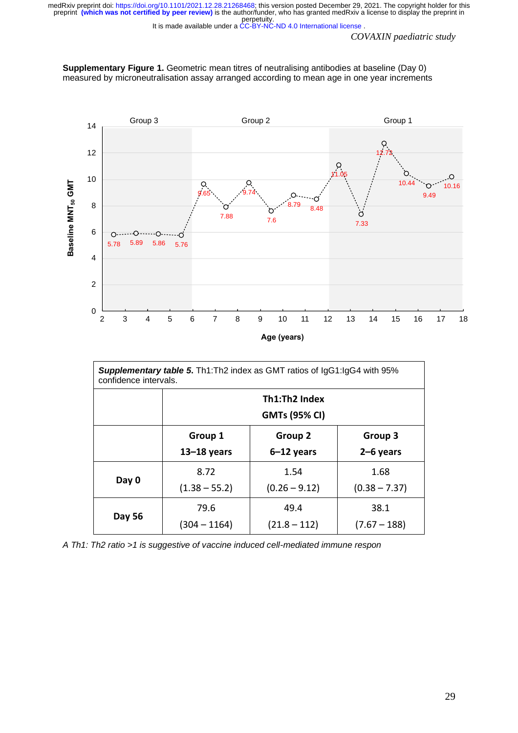It is made available under a CC-BY-NC-ND 4.0 International license.





| <b>Supplementary table 5.</b> Th1: Th2 index as GMT ratios of IgG1:IgG4 with 95%<br>confidence intervals. |                                       |                 |                 |  |
|-----------------------------------------------------------------------------------------------------------|---------------------------------------|-----------------|-----------------|--|
|                                                                                                           | Th1:Th2 Index<br><b>GMTs (95% CI)</b> |                 |                 |  |
|                                                                                                           | Group 1                               | Group 2         | Group 3         |  |
|                                                                                                           | $13-18$ years                         | $6-12$ years    | $2-6$ years     |  |
| Day 0                                                                                                     | 8.72                                  | 1.54            | 1.68            |  |
|                                                                                                           | $(1.38 - 55.2)$                       | $(0.26 - 9.12)$ | $(0.38 - 7.37)$ |  |
| <b>Day 56</b>                                                                                             | 79.6                                  | 49.4            | 38.1            |  |
|                                                                                                           | (304 – 1164)                          | $(21.8 - 112)$  | (7.67 – 188)    |  |

*A Th1: Th2 ratio >1 is suggestive of vaccine induced cell-mediated immune respon*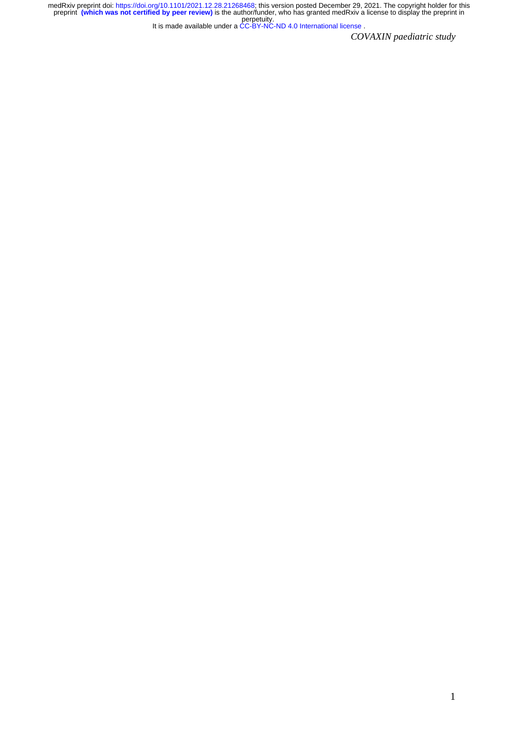It is made available under a CC-BY-NC-ND 4.0 International license.